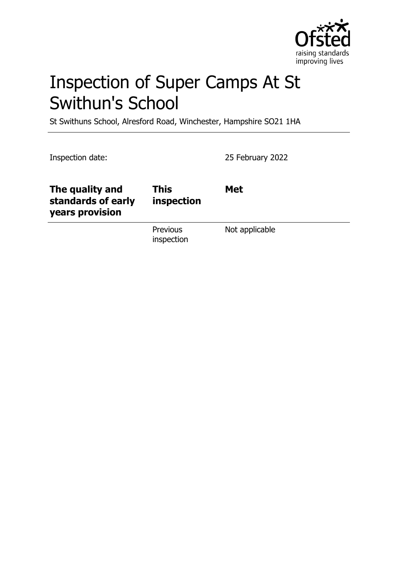

# Inspection of Super Camps At St Swithun's School

St Swithuns School, Alresford Road, Winchester, Hampshire SO21 1HA

Inspection date: 25 February 2022

| The quality and<br>standards of early<br>years provision | <b>This</b><br>inspection | <b>Met</b>     |
|----------------------------------------------------------|---------------------------|----------------|
|                                                          | Previous<br>inspection    | Not applicable |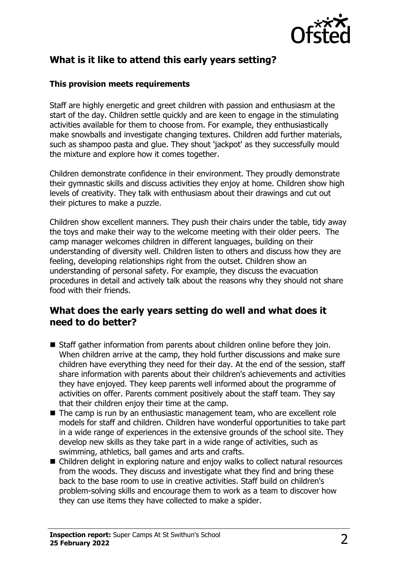

# **What is it like to attend this early years setting?**

#### **This provision meets requirements**

Staff are highly energetic and greet children with passion and enthusiasm at the start of the day. Children settle quickly and are keen to engage in the stimulating activities available for them to choose from. For example, they enthusiastically make snowballs and investigate changing textures. Children add further materials, such as shampoo pasta and glue. They shout 'jackpot' as they successfully mould the mixture and explore how it comes together.

Children demonstrate confidence in their environment. They proudly demonstrate their gymnastic skills and discuss activities they enjoy at home. Children show high levels of creativity. They talk with enthusiasm about their drawings and cut out their pictures to make a puzzle.

Children show excellent manners. They push their chairs under the table, tidy away the toys and make their way to the welcome meeting with their older peers. The camp manager welcomes children in different languages, building on their understanding of diversity well. Children listen to others and discuss how they are feeling, developing relationships right from the outset. Children show an understanding of personal safety. For example, they discuss the evacuation procedures in detail and actively talk about the reasons why they should not share food with their friends.

## **What does the early years setting do well and what does it need to do better?**

- $\blacksquare$  Staff gather information from parents about children online before they join. When children arrive at the camp, they hold further discussions and make sure children have everything they need for their day. At the end of the session, staff share information with parents about their children's achievements and activities they have enjoyed. They keep parents well informed about the programme of activities on offer. Parents comment positively about the staff team. They say that their children enjoy their time at the camp.
- The camp is run by an enthusiastic management team, who are excellent role models for staff and children. Children have wonderful opportunities to take part in a wide range of experiences in the extensive grounds of the school site. They develop new skills as they take part in a wide range of activities, such as swimming, athletics, ball games and arts and crafts.
- Children delight in exploring nature and enjoy walks to collect natural resources from the woods. They discuss and investigate what they find and bring these back to the base room to use in creative activities. Staff build on children's problem-solving skills and encourage them to work as a team to discover how they can use items they have collected to make a spider.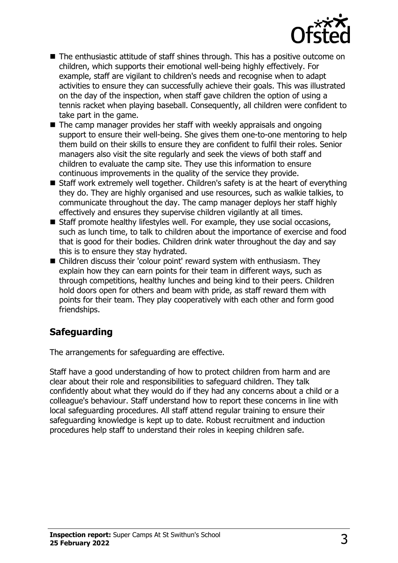

- $\blacksquare$  The enthusiastic attitude of staff shines through. This has a positive outcome on children, which supports their emotional well-being highly effectively. For example, staff are vigilant to children's needs and recognise when to adapt activities to ensure they can successfully achieve their goals. This was illustrated on the day of the inspection, when staff gave children the option of using a tennis racket when playing baseball. Consequently, all children were confident to take part in the game.
- $\blacksquare$  The camp manager provides her staff with weekly appraisals and ongoing support to ensure their well-being. She gives them one-to-one mentoring to help them build on their skills to ensure they are confident to fulfil their roles. Senior managers also visit the site regularly and seek the views of both staff and children to evaluate the camp site. They use this information to ensure continuous improvements in the quality of the service they provide.
- $\blacksquare$  Staff work extremely well together. Children's safety is at the heart of everything they do. They are highly organised and use resources, such as walkie talkies, to communicate throughout the day. The camp manager deploys her staff highly effectively and ensures they supervise children vigilantly at all times.
- $\blacksquare$  Staff promote healthy lifestyles well. For example, they use social occasions, such as lunch time, to talk to children about the importance of exercise and food that is good for their bodies. Children drink water throughout the day and say this is to ensure they stay hydrated.
- Children discuss their 'colour point' reward system with enthusiasm. They explain how they can earn points for their team in different ways, such as through competitions, healthy lunches and being kind to their peers. Children hold doors open for others and beam with pride, as staff reward them with points for their team. They play cooperatively with each other and form good friendships.

# **Safeguarding**

The arrangements for safeguarding are effective.

Staff have a good understanding of how to protect children from harm and are clear about their role and responsibilities to safeguard children. They talk confidently about what they would do if they had any concerns about a child or a colleague's behaviour. Staff understand how to report these concerns in line with local safeguarding procedures. All staff attend regular training to ensure their safeguarding knowledge is kept up to date. Robust recruitment and induction procedures help staff to understand their roles in keeping children safe.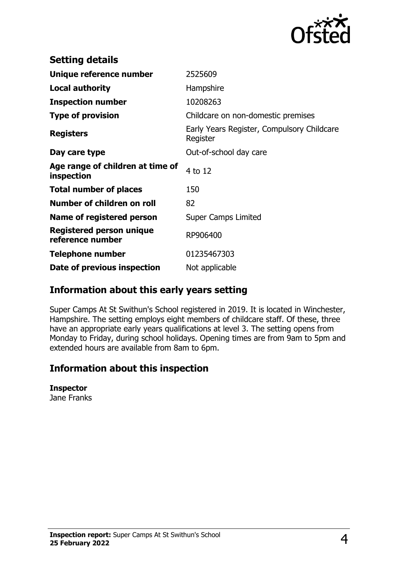

| <b>Setting details</b>                         |                                                        |
|------------------------------------------------|--------------------------------------------------------|
| Unique reference number                        | 2525609                                                |
| <b>Local authority</b>                         | Hampshire                                              |
| <b>Inspection number</b>                       | 10208263                                               |
| <b>Type of provision</b>                       | Childcare on non-domestic premises                     |
| <b>Registers</b>                               | Early Years Register, Compulsory Childcare<br>Register |
| Day care type                                  | Out-of-school day care                                 |
| Age range of children at time of<br>inspection | 4 to 12                                                |
| <b>Total number of places</b>                  | 150                                                    |
| Number of children on roll                     | 82                                                     |
| Name of registered person                      | <b>Super Camps Limited</b>                             |
| Registered person unique<br>reference number   | RP906400                                               |
| <b>Telephone number</b>                        | 01235467303                                            |
| Date of previous inspection                    | Not applicable                                         |

## **Information about this early years setting**

Super Camps At St Swithun's School registered in 2019. It is located in Winchester, Hampshire. The setting employs eight members of childcare staff. Of these, three have an appropriate early years qualifications at level 3. The setting opens from Monday to Friday, during school holidays. Opening times are from 9am to 5pm and extended hours are available from 8am to 6pm.

## **Information about this inspection**

**Inspector**

Jane Franks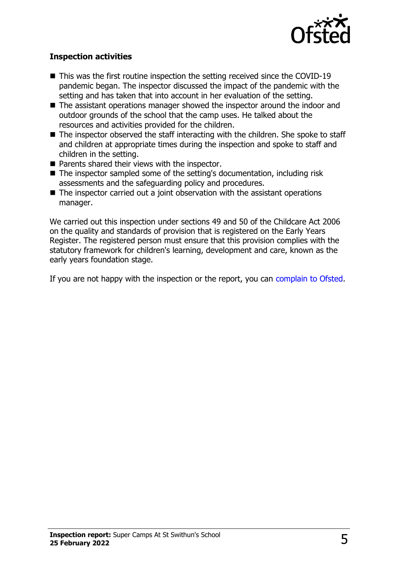

#### **Inspection activities**

- $\blacksquare$  This was the first routine inspection the setting received since the COVID-19 pandemic began. The inspector discussed the impact of the pandemic with the setting and has taken that into account in her evaluation of the setting.
- $\blacksquare$  The assistant operations manager showed the inspector around the indoor and outdoor grounds of the school that the camp uses. He talked about the resources and activities provided for the children.
- $\blacksquare$  The inspector observed the staff interacting with the children. She spoke to staff and children at appropriate times during the inspection and spoke to staff and children in the setting.
- $\blacksquare$  Parents shared their views with the inspector.
- The inspector sampled some of the setting's documentation, including risk assessments and the safeguarding policy and procedures.
- $\blacksquare$  The inspector carried out a joint observation with the assistant operations manager.

We carried out this inspection under sections 49 and 50 of the Childcare Act 2006 on the quality and standards of provision that is registered on the Early Years Register. The registered person must ensure that this provision complies with the statutory framework for children's learning, development and care, known as the early years foundation stage.

If you are not happy with the inspection or the report, you can [complain to Ofsted](http://www.gov.uk/complain-ofsted-report).